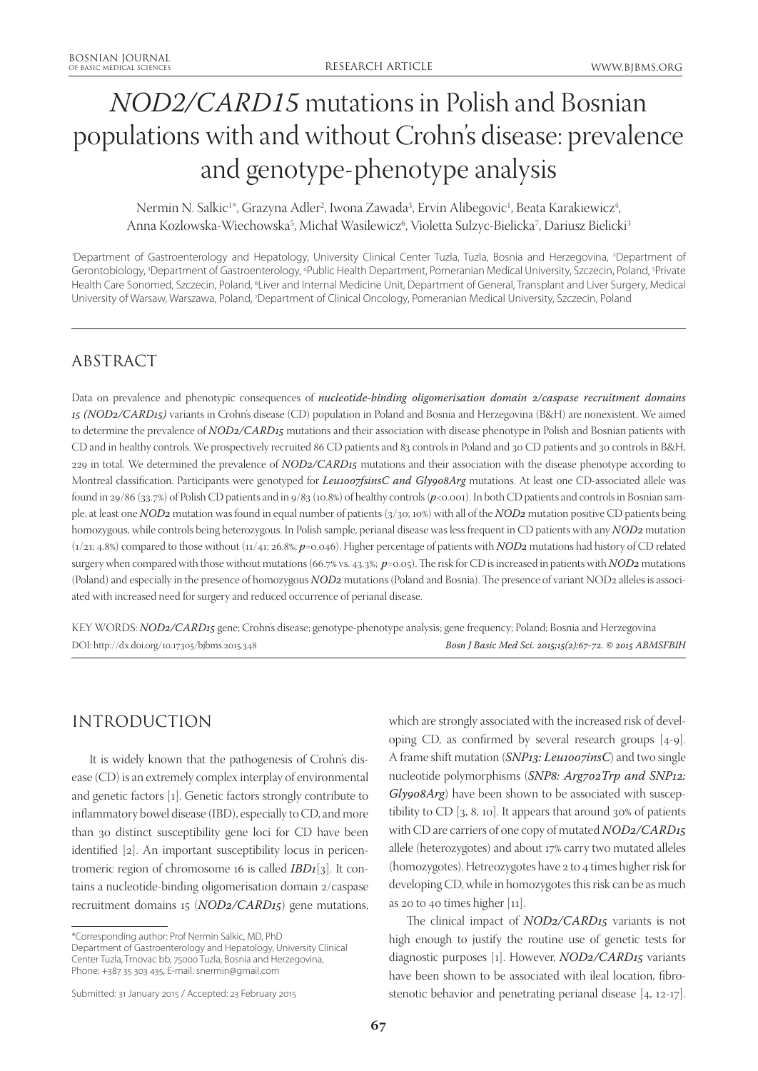# *NOD2/CARD15* mutations in Polish and Bosnian populations with and without Crohn's disease: prevalence and genotype-phenotype analysis

## Nermin N. Salkic<sup>1</sup>\*, Grazyna Adler<sup>2</sup>, Iwona Zawada<sup>3</sup>, Ervin Alibegovic<sup>1</sup>, Beata Karakiewicz<sup>4</sup>, Anna Kozlowska-Wiechowska<sup>5</sup>, Michał Wasilewicz<sup>6</sup>, Violetta Sulzyc-Bielicka<sup>7</sup>, Dariusz Bielicki<sup>3</sup>

'Department of Gastroenterology and Hepatology, University Clinical Center Tuzla, Tuzla, Bosnia and Herzegovina, <sup>2</sup>Department of Gerontobiology, <sup>3</sup>Department of Gastroenterology, <sup>4</sup>Public Health Department, Pomeranian Medical University, Szczecin, Poland, <sup>5</sup>Private Health Care Sonomed, Szczecin, Poland, <sup>6</sup>Liver and Internal Medicine Unit, Department of General, Transplant and Liver Surgery, Medical University of Warsaw, Warszawa, Poland, 7Department of Clinical Oncology, Pomeranian Medical University, Szczecin, Poland

# ABSTRACT

Data on prevalence and phenotypic consequences of *nucleotide-binding oligomerisation domain 2/caspase recruitment domains 15 (NOD2/CARD15)* variants in Crohn's disease (CD) population in Poland and Bosnia and Herzegovina (B&H) are nonexistent. We aimed to determine the prevalence of *NOD2/CARD15* mutations and their association with disease phenotype in Polish and Bosnian patients with CD and in healthy controls. We prospectively recruited 86 CD patients and 83 controls in Poland and 30 CD patients and 30 controls in B&H, 229 in total. We determined the prevalence of *NOD2/CARD15* mutations and their association with the disease phenotype according to Montreal classification. Participants were genotyped for *Leu1007fsinsC and Gly908Arg* mutations. At least one CD-associated allele was found in 29/86 (33.7%) of Polish CD patients and in 9/83 (10.8%) of healthy controls (*p*<0.001). In both CD patients and controls in Bosnian sample, at least one *NOD2* mutation was found in equal number of patients (3/30; 10%) with all of the *NOD2* mutation positive CD patients being homozygous, while controls being heterozygous. In Polish sample, perianal disease was less frequent in CD patients with any *NOD2* mutation (1/21; 4.8%) compared to those without (11/41; 26.8%; *p*=0.046). Higher percentage of patients with *NOD2* mutations had history of CD related surgery when compared with those without mutations (66.7% vs. 43.3%; *p*=0.05). The risk for CD is increased in patients with *NOD2* mutations (Poland) and especially in the presence of homozygous *NOD2* mutations (Poland and Bosnia). The presence of variant NOD2 alleles is associated with increased need for surgery and reduced occurrence of perianal disease.

KEY WORDS: *NOD2/CARD15* gene; Crohn's disease; genotype-phenotype analysis; gene frequency; Poland; Bosnia and Herzegovina DOI: http://dx.doi.org/10.17305/bjbms.2015.348 *Bosn J Basic Med Sci. 2015;15(2):67-72. © 2015 ABMSFBIH*

# INTRODUCTION

It is widely known that the pathogenesis of Crohn's disease (CD) is an extremely complex interplay of environmental and genetic factors [1]. Genetic factors strongly contribute to inflammatory bowel disease (IBD), especially to CD, and more than 30 distinct susceptibility gene loci for CD have been identified [2]. An important susceptibility locus in pericentromeric region of chromosome 16 is called *IBD1*[3]. It contains a nucleotide-binding oligomerisation domain 2/caspase recruitment domains 15 (*NOD2/CARD15*) gene mutations,

\*Corresponding author: Prof Nermin Salkic, MD, PhD Department of Gastroenterology and Hepatology, University Clinical Center Tuzla, Trnovac bb, 75000 Tuzla, Bosnia and Herzegovina, Phone: +387 35 303 435, E-mail: snermin@gmail.com

which are strongly associated with the increased risk of developing CD, as confirmed by several research groups [4-9]. A frame shift mutation (*SNP13: Leu1007insC*) and two single nucleotide polymorphisms (*SNP8: Arg702Trp and SNP12: Gly908Arg*) have been shown to be associated with susceptibility to CD [3, 8, 10]. It appears that around 30% of patients with CD are carriers of one copy of mutated *NOD2/CARD15* allele (heterozygotes) and about 17% carry two mutated alleles (homozygotes). Hetreozygotes have 2 to 4 times higher risk for developing CD, while in homozygotes this risk can be as much as 20 to 40 times higher [11].

The clinical impact of *NOD2/CARD15* variants is not high enough to justify the routine use of genetic tests for diagnostic purposes [1]. However, *NOD2/CARD15* variants have been shown to be associated with ileal location, fibrostenotic behavior and penetrating perianal disease [4, 12-17].

Submitted: 31 January 2015 / Accepted: 23 February 2015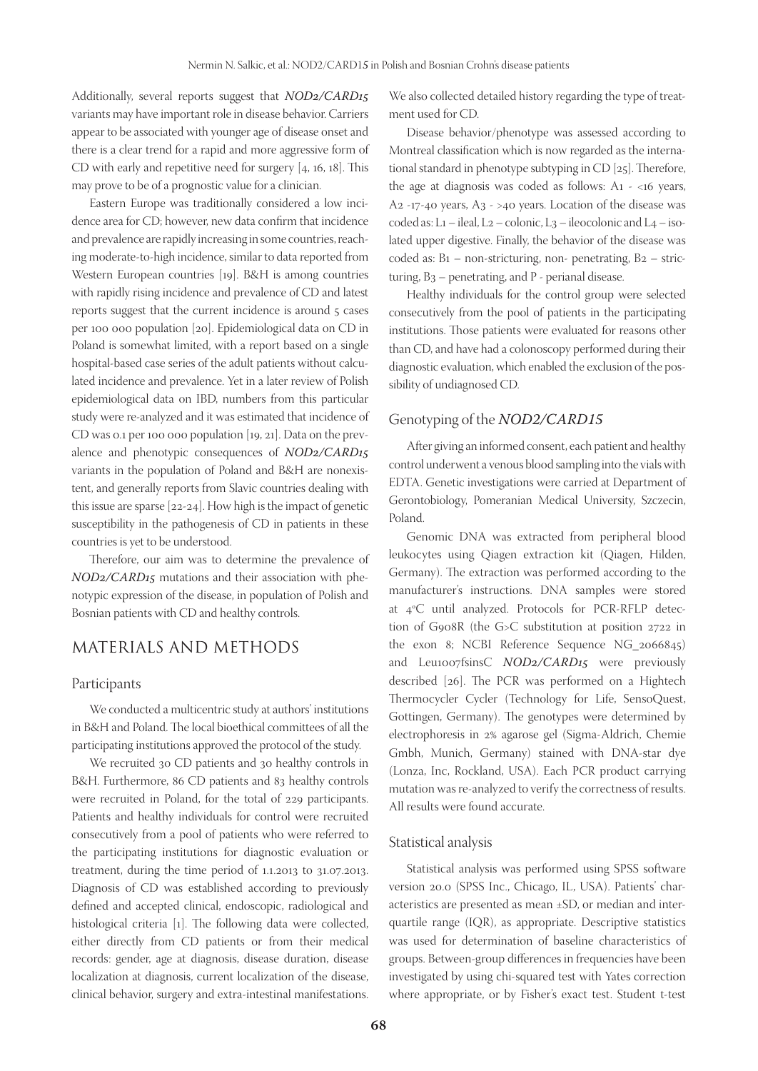Additionally, several reports suggest that *NOD2/CARD15* variants may have important role in disease behavior. Carriers appear to be associated with younger age of disease onset and there is a clear trend for a rapid and more aggressive form of CD with early and repetitive need for surgery [4, 16, 18]. This may prove to be of a prognostic value for a clinician.

Eastern Europe was traditionally considered a low incidence area for CD; however, new data confirm that incidence and prevalence are rapidly increasing in some countries, reaching moderate-to-high incidence, similar to data reported from Western European countries [19]. B&H is among countries with rapidly rising incidence and prevalence of CD and latest reports suggest that the current incidence is around 5 cases per 100 000 population [20]. Epidemiological data on CD in Poland is somewhat limited, with a report based on a single hospital-based case series of the adult patients without calculated incidence and prevalence. Yet in a later review of Polish epidemiological data on IBD, numbers from this particular study were re-analyzed and it was estimated that incidence of CD was 0.1 per 100 000 population [19, 21]. Data on the prevalence and phenotypic consequences of *NOD2/CARD15* variants in the population of Poland and B&H are nonexistent, and generally reports from Slavic countries dealing with this issue are sparse [22-24]. How high is the impact of genetic susceptibility in the pathogenesis of CD in patients in these countries is yet to be understood.

Therefore, our aim was to determine the prevalence of *NOD2/CARD15* mutations and their association with phenotypic expression of the disease, in population of Polish and Bosnian patients with CD and healthy controls.

## MATERIALS AND METHODS

#### Participants

We conducted a multicentric study at authors' institutions in B&H and Poland. The local bioethical committees of all the participating institutions approved the protocol of the study.

We recruited 30 CD patients and 30 healthy controls in B&H. Furthermore, 86 CD patients and 83 healthy controls were recruited in Poland, for the total of 229 participants. Patients and healthy individuals for control were recruited consecutively from a pool of patients who were referred to the participating institutions for diagnostic evaluation or treatment, during the time period of 1.1.2013 to 31.07.2013. Diagnosis of CD was established according to previously defined and accepted clinical, endoscopic, radiological and histological criteria [1]. The following data were collected, either directly from CD patients or from their medical records: gender, age at diagnosis, disease duration, disease localization at diagnosis, current localization of the disease, clinical behavior, surgery and extra-intestinal manifestations.

We also collected detailed history regarding the type of treatment used for CD.

Disease behavior/phenotype was assessed according to Montreal classification which is now regarded as the international standard in phenotype subtyping in CD [25]. Therefore, the age at diagnosis was coded as follows: A<sub>1</sub>  $-$  <16 years, A2 -17-40 years, A3 - >40 years. Location of the disease was coded as:  $L_1$  – ileal,  $L_2$  – colonic,  $L_3$  – ileocolonic and  $L_4$  – isolated upper digestive. Finally, the behavior of the disease was coded as:  $B_1$  – non-stricturing, non- penetrating,  $B_2$  – stricturing,  $B_3$  – penetrating, and P - perianal disease.

Healthy individuals for the control group were selected consecutively from the pool of patients in the participating institutions. Those patients were evaluated for reasons other than CD, and have had a colonoscopy performed during their diagnostic evaluation, which enabled the exclusion of the possibility of undiagnosed CD.

#### Genotyping of the *NOD2/CARD15*

After giving an informed consent, each patient and healthy control underwent a venous blood sampling into the vials with EDTA. Genetic investigations were carried at Department of Gerontobiology, Pomeranian Medical University, Szczecin, Poland.

Genomic DNA was extracted from peripheral blood leukocytes using Qiagen extraction kit (Qiagen, Hilden, Germany). The extraction was performed according to the manufacturer's instructions. DNA samples were stored at 4ºC until analyzed. Protocols for PCR-RFLP detection of G908R (the G>C substitution at position 2722 in the exon 8; NCBI Reference Sequence NG\_2066845) and Leu1007fsinsC *NOD2/CARD15* were previously described [26]. The PCR was performed on a Hightech Thermocycler Cycler (Technology for Life, SensoQuest, Gottingen, Germany). The genotypes were determined by electrophoresis in 2% agarose gel (Sigma-Aldrich, Chemie Gmbh, Munich, Germany) stained with DNA-star dye (Lonza, Inc, Rockland, USA). Each PCR product carrying mutation was re-analyzed to verify the correctness of results. All results were found accurate.

#### Statistical analysis

Statistical analysis was performed using SPSS software version 20.0 (SPSS Inc., Chicago, IL, USA). Patients' characteristics are presented as mean ±SD, or median and interquartile range (IQR), as appropriate. Descriptive statistics was used for determination of baseline characteristics of groups. Between-group differences in frequencies have been investigated by using chi-squared test with Yates correction where appropriate, or by Fisher's exact test. Student t-test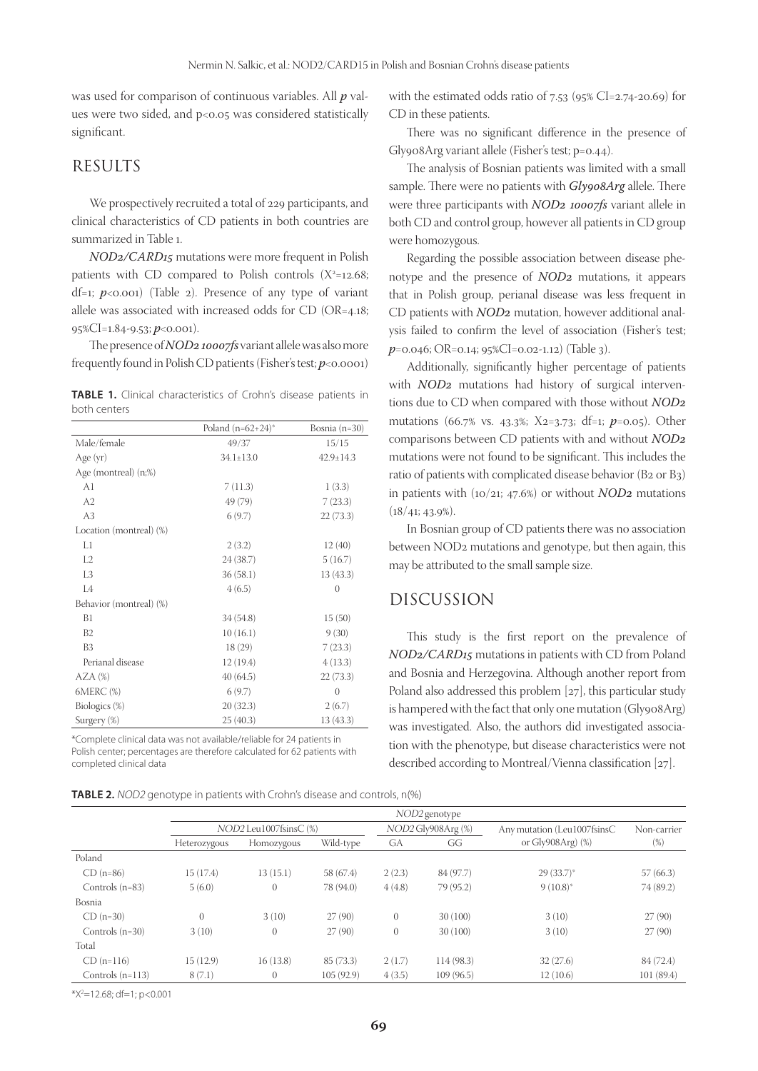was used for comparison of continuous variables. All *p* values were two sided, and p<0.05 was considered statistically significant.

## RESULTS

We prospectively recruited a total of 229 participants, and clinical characteristics of CD patients in both countries are summarized in Table 1.

*NOD2/CARD15* mutations were more frequent in Polish patients with CD compared to Polish controls  $(X^2=12.68;$ df=1;  $p$ <0.001) (Table 2). Presence of any type of variant allele was associated with increased odds for CD (OR=4.18; 95%CI=1.84-9.53; *p*<0.001).

The presence of *NOD2 10007fs* variant allele was also more frequently found in Polish CD patients (Fisher's test; *p*<0.0001)

**TABLE 1.** Clinical characteristics of Crohn's disease patients in both centers

|                         | Poland $(n=62+24)^*$ | Bosnia (n=30)   |  |
|-------------------------|----------------------|-----------------|--|
| Male/female             | 49/37                | 15/15           |  |
| Age $(yr)$              | $34.1 \pm 13.0$      | $42.9 \pm 14.3$ |  |
| Age (montreal) (n;%)    |                      |                 |  |
| A <sub>1</sub>          | 7(11.3)              | 1(3.3)          |  |
| A <sub>2</sub>          | 49 (79)              | 7(23.3)         |  |
| A <sub>3</sub>          | 6(9.7)               | 22(73.3)        |  |
| Location (montreal) (%) |                      |                 |  |
| L1                      | 2(3.2)               | 12(40)          |  |
| L2                      | 24 (38.7)            | 5(16.7)         |  |
| L <sub>3</sub>          | 36(58.1)             | 13(43.3)        |  |
| 14                      | 4(6.5)               | $\left($        |  |
| Behavior (montreal) (%) |                      |                 |  |
| B1                      | 34 (54.8)            | 15(50)          |  |
| B2                      | 10(16.1)             | 9(30)           |  |
| B <sub>3</sub>          | 18(29)               | 7(23.3)         |  |
| Perianal disease        | 12(19.4)             | 4(13.3)         |  |
| $AZA$ $(\%)$            | 40(64.5)             | 22(73.3)        |  |
| 6MERC (%)               | 6(9.7)               | $\Omega$        |  |
| Biologics (%)           | 20(32.3)             | 2(6.7)          |  |
| Surgery (%)             | 25(40.3)             | 13(43.3)        |  |

\*Complete clinical data was not available/reliable for 24 patients in Polish center; percentages are therefore calculated for 62 patients with completed clinical data

**TABLE 2.** NOD2 genotype in patients with Crohn's disease and controls, n(%)

with the estimated odds ratio of 7.53 (95% CI=2.74-20.69) for CD in these patients.

There was no significant difference in the presence of Gly908Arg variant allele (Fisher's test; p=0.44).

The analysis of Bosnian patients was limited with a small sample. There were no patients with *Gly908Arg* allele. There were three participants with *NOD2 10007fs* variant allele in both CD and control group, however all patients in CD group were homozygous.

Regarding the possible association between disease phenotype and the presence of *NOD2* mutations, it appears that in Polish group, perianal disease was less frequent in CD patients with *NOD2* mutation, however additional analysis failed to confirm the level of association (Fisher's test; *p*=0.046; OR=0.14; 95%CI=0.02-1.12) (Table 3).

Additionally, significantly higher percentage of patients with *NOD2* mutations had history of surgical interventions due to CD when compared with those without *NOD2* mutations (66.7% vs. 43.3%; X2=3.73; df=1; *p*=0.05). Other comparisons between CD patients with and without *NOD2* mutations were not found to be significant. This includes the ratio of patients with complicated disease behavior (B2 or B3) in patients with (10/21; 47.6%) or without *NOD2* mutations  $(18/41; 43.9\%).$ 

In Bosnian group of CD patients there was no association between NOD2 mutations and genotype, but then again, this may be attributed to the small sample size.

## DISCUSSION

This study is the first report on the prevalence of *NOD2/CARD15* mutations in patients with CD from Poland and Bosnia and Herzegovina. Although another report from Poland also addressed this problem [27], this particular study is hampered with the fact that only one mutation (Gly908Arg) was investigated. Also, the authors did investigated association with the phenotype, but disease characteristics were not described according to Montreal/Vienna classification [27].

|                    | NOD <sub>2</sub> genotype |                |                    |          |                             |                     |            |  |  |
|--------------------|---------------------------|----------------|--------------------|----------|-----------------------------|---------------------|------------|--|--|
|                    | NOD2 Leu1007fsinsC (%)    |                | NOD2 Gly908Arg (%) |          | Any mutation (Leu1007fsinsC | Non-carrier         |            |  |  |
|                    | Heterozygous              | Homozygous     | Wild-type          | GА       | GG                          | or Gly $908Arg$ (%) | $(\%)$     |  |  |
| Poland             |                           |                |                    |          |                             |                     |            |  |  |
| $CD(n=86)$         | 15(17.4)                  | 13(15.1)       | 58 (67.4)          | 2(2.3)   | 84 (97.7)                   | $29(33.7)^*$        | 57 (66.3)  |  |  |
| Controls $(n=83)$  | 5(6.0)                    | $\theta$       | 78 (94.0)          | 4(4.8)   | 79 (95.2)                   | $9(10.8)^*$         | 74 (89.2)  |  |  |
| Bosnia             |                           |                |                    |          |                             |                     |            |  |  |
| $CD(n=30)$         | $\Omega$                  | 3(10)          | 27(90)             | $\theta$ | 30(100)                     | 3(10)               | 27(90)     |  |  |
| Controls $(n=30)$  | 3(10)                     | $\overline{0}$ | 27(90)             | $\theta$ | 30(100)                     | 3(10)               | 27(90)     |  |  |
| Total              |                           |                |                    |          |                             |                     |            |  |  |
| $CD (n=116)$       | 15(12.9)                  | 16(13.8)       | 85 (73.3)          | 2(1.7)   | 114 (98.3)                  | 32(27.6)            | 84 (72.4)  |  |  |
| Controls $(n=113)$ | 8(7.1)                    | $\theta$       | 105(92.9)          | 4(3.5)   | 109(96.5)                   | 12(10.6)            | 101 (89.4) |  |  |

\*X2 =12.68; df=1; p<0.001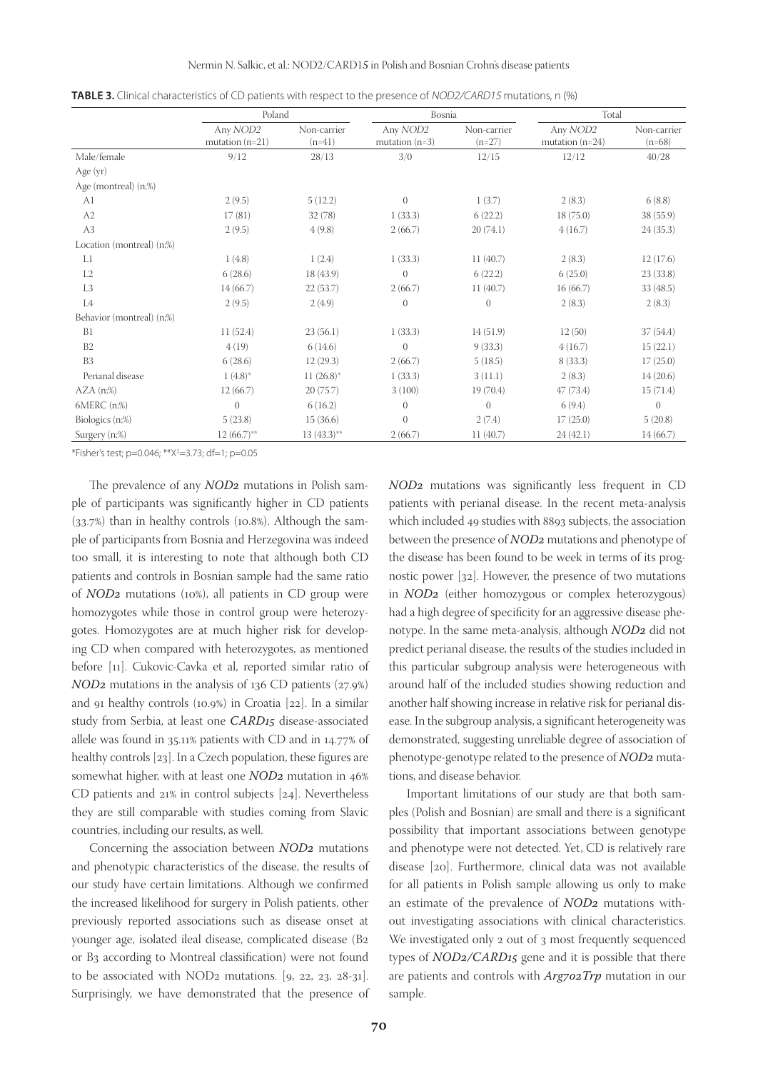|                           | Poland                        |                         | Bosnia                       |                         | Total                         |                         |
|---------------------------|-------------------------------|-------------------------|------------------------------|-------------------------|-------------------------------|-------------------------|
|                           | Any NOD2<br>mutation $(n=21)$ | Non-carrier<br>$(n=41)$ | Any NOD2<br>mutation $(n=3)$ | Non-carrier<br>$(n=27)$ | Any NOD2<br>mutation $(n=24)$ | Non-carrier<br>$(n=68)$ |
| Male/female               | 9/12                          | 28/13                   | 3/0                          | 12/15                   | 12/12                         | 40/28                   |
| Age (yr)                  |                               |                         |                              |                         |                               |                         |
| Age (montreal) (n;%)      |                               |                         |                              |                         |                               |                         |
| A1                        | 2(9.5)                        | 5(12.2)                 | $\overline{0}$               | 1(3.7)                  | 2(8.3)                        | 6(8.8)                  |
| A2                        | 17(81)                        | 32(78)                  | 1(33.3)                      | 6(22.2)                 | 18(75.0)                      | 38(55.9)                |
| A3                        | 2(9.5)                        | 4(9.8)                  | 2(66.7)                      | 20(74.1)                | 4(16.7)                       | 24(35.3)                |
| Location (montreal) (n;%) |                               |                         |                              |                         |                               |                         |
| L1                        | 1(4.8)                        | 1(2.4)                  | 1(33.3)                      | 11(40.7)                | 2(8.3)                        | 12(17.6)                |
| L2                        | 6(28.6)                       | 18(43.9)                | $\overline{0}$               | 6(22.2)                 | 6(25.0)                       | 23 (33.8)               |
| L <sub>3</sub>            | 14(66.7)                      | 22(53.7)                | 2(66.7)                      | 11(40.7)                | 16(66.7)                      | 33 (48.5)               |
| L4                        | 2(9.5)                        | 2(4.9)                  | $\overline{0}$               | $\theta$                | 2(8.3)                        | 2(8.3)                  |
| Behavior (montreal) (n;%) |                               |                         |                              |                         |                               |                         |
| B1                        | 11(52.4)                      | 23(56.1)                | 1(33.3)                      | 14(51.9)                | 12(50)                        | 37(54.4)                |
| B2                        | 4(19)                         | 6(14.6)                 | $\overline{0}$               | 9(33.3)                 | 4(16.7)                       | 15(22.1)                |
| B <sub>3</sub>            | 6(28.6)                       | 12(29.3)                | 2(66.7)                      | 5(18.5)                 | 8(33.3)                       | 17(25.0)                |
| Perianal disease          | $1(4.8)^*$                    | $11(26.8)$ <sup>*</sup> | 1(33.3)                      | 3(11.1)                 | 2(8.3)                        | 14(20.6)                |
| $AZA(n;\%)$               | 12(66.7)                      | 20(75.7)                | 3(100)                       | 19(70.4)                | 47(73.4)                      | 15(71.4)                |
| $6MERC$ (n;%)             | $\Omega$                      | 6(16.2)                 | $\overline{0}$               | $\Omega$                | 6(9.4)                        | $\Omega$                |
| Biologics (n;%)           | 5(23.8)                       | 15(36.6)                | $\overline{0}$               | 2(7.4)                  | 17(25.0)                      | 5(20.8)                 |
| Surgery (n;%)             | $12(66.7)$ **                 | $13(43.3)$ **           | 2(66.7)                      | 11(40.7)                | 24(42.1)                      | 14(66.7)                |

**TABLE 3.** Clinical characteristics of CD patients with respect to the presence of NOD2/CARD15 mutations, n (%)

\*Fisher's test; p=0.046; \*\*X2 =3.73; df=1; p=0.05

The prevalence of any *NOD2* mutations in Polish sample of participants was significantly higher in CD patients (33.7%) than in healthy controls (10.8%). Although the sample of participants from Bosnia and Herzegovina was indeed too small, it is interesting to note that although both CD patients and controls in Bosnian sample had the same ratio of *NOD2* mutations (10%), all patients in CD group were homozygotes while those in control group were heterozygotes. Homozygotes are at much higher risk for developing CD when compared with heterozygotes, as mentioned before [11]. Cukovic-Cavka et al, reported similar ratio of *NOD2* mutations in the analysis of 136 CD patients (27.9%) and 91 healthy controls (10.9%) in Croatia [22]. In a similar study from Serbia, at least one *CARD15* disease-associated allele was found in 35.11% patients with CD and in 14.77% of healthy controls [23]. In a Czech population, these figures are somewhat higher, with at least one *NOD2* mutation in 46% CD patients and 21% in control subjects [24]. Nevertheless they are still comparable with studies coming from Slavic countries, including our results, as well.

Concerning the association between *NOD2* mutations and phenotypic characteristics of the disease, the results of our study have certain limitations. Although we confirmed the increased likelihood for surgery in Polish patients, other previously reported associations such as disease onset at younger age, isolated ileal disease, complicated disease (B2 or B3 according to Montreal classification) were not found to be associated with NOD2 mutations. [9, 22, 23, 28-31]. Surprisingly, we have demonstrated that the presence of *NOD2* mutations was significantly less frequent in CD patients with perianal disease. In the recent meta-analysis which included 49 studies with 8893 subjects, the association between the presence of *NOD2* mutations and phenotype of the disease has been found to be week in terms of its prognostic power [32]. However, the presence of two mutations in *NOD2* (either homozygous or complex heterozygous) had a high degree of specificity for an aggressive disease phenotype. In the same meta-analysis, although *NOD2* did not predict perianal disease, the results of the studies included in this particular subgroup analysis were heterogeneous with around half of the included studies showing reduction and another half showing increase in relative risk for perianal disease. In the subgroup analysis, a significant heterogeneity was demonstrated, suggesting unreliable degree of association of phenotype-genotype related to the presence of *NOD2* mutations, and disease behavior.

Important limitations of our study are that both samples (Polish and Bosnian) are small and there is a significant possibility that important associations between genotype and phenotype were not detected. Yet, CD is relatively rare disease [20]. Furthermore, clinical data was not available for all patients in Polish sample allowing us only to make an estimate of the prevalence of *NOD2* mutations without investigating associations with clinical characteristics. We investigated only 2 out of 3 most frequently sequenced types of *NOD2/CARD15* gene and it is possible that there are patients and controls with *Arg702Trp* mutation in our sample.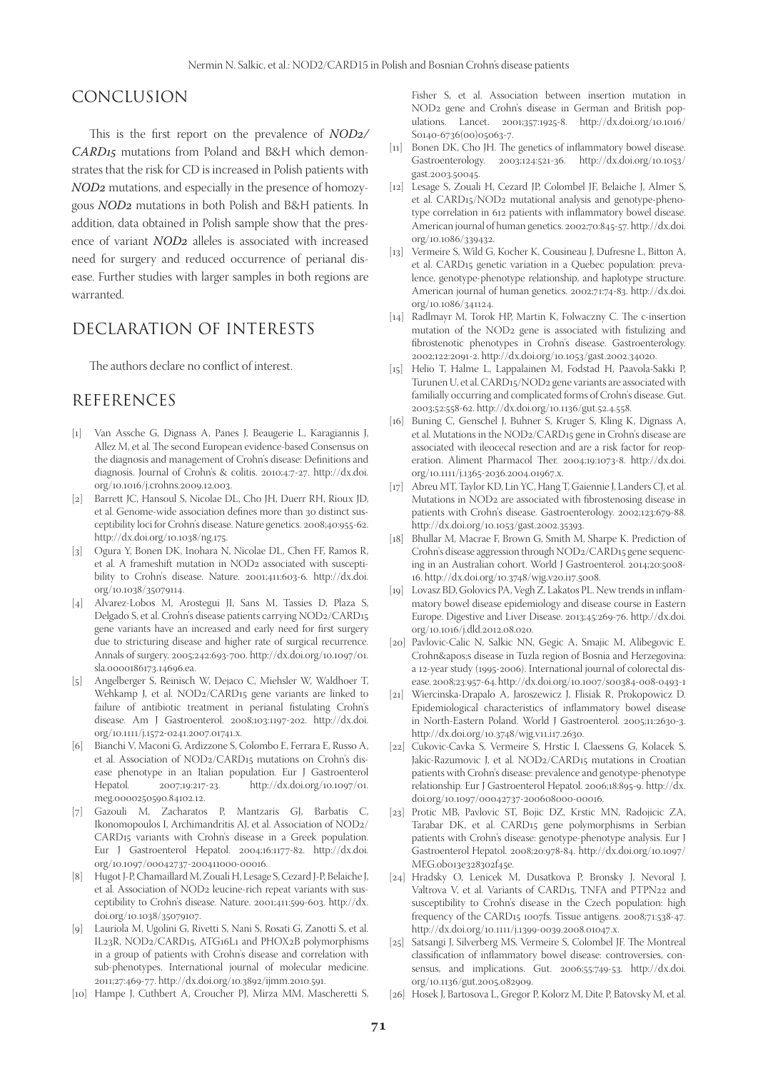## CONCLUSION

This is the first report on the prevalence of *NOD2/ CARD15* mutations from Poland and B&H which demonstrates that the risk for CD is increased in Polish patients with *NOD2* mutations, and especially in the presence of homozygous *NOD2* mutations in both Polish and B&H patients. In addition, data obtained in Polish sample show that the presence of variant *NOD2* alleles is associated with increased need for surgery and reduced occurrence of perianal disease. Further studies with larger samples in both regions are warranted.

## DECLARATION OF INTERESTS

The authors declare no conflict of interest.

## REFERENCES

- [1] Van Assche G, Dignass A, Panes J, Beaugerie L, Karagiannis J, Allez M, et al. The second European evidence-based Consensus on the diagnosis and management of Crohn's disease: Definitions and diagnosis. Journal of Crohn's & colitis. 2010;4:7-27. http://dx.doi. org/10.1016/j.crohns.2009.12.003.
- [2] Barrett JC, Hansoul S, Nicolae DL, Cho JH, Duerr RH, Rioux JD, et al. Genome-wide association defines more than 30 distinct susceptibility loci for Crohn's disease. Nature genetics. 2008;40:955-62. http://dx.doi.org/10.1038/ng.175.
- [3] Ogura Y, Bonen DK, Inohara N, Nicolae DL, Chen FF, Ramos R, et al. A frameshift mutation in NOD2 associated with susceptibility to Crohn's disease. Nature. 2001;411:603-6. http://dx.doi. org/10.1038/35079114.
- [4] Alvarez-Lobos M, Arostegui JI, Sans M, Tassies D, Plaza S, Delgado S, et al. Crohn's disease patients carrying NOD2/CARD15 gene variants have an increased and early need for first surgery due to stricturing disease and higher rate of surgical recurrence. Annals of surgery. 2005;242:693-700. http://dx.doi.org/10.1097/01. sla.0000186173.14696.ea.
- [5] Angelberger S, Reinisch W, Dejaco C, Miehsler W, Waldhoer T, Wehkamp J, et al. NOD2/CARD15 gene variants are linked to failure of antibiotic treatment in perianal fistulating Crohn's disease. Am J Gastroenterol. 2008;103:1197-202. http://dx.doi. org/10.1111/j.1572-0241.2007.01741.x.
- [6] Bianchi V, Maconi G, Ardizzone S, Colombo E, Ferrara E, Russo A, et al. Association of NOD2/CARD15 mutations on Crohn's disease phenotype in an Italian population. Eur J Gastroenterol<br>Hepatol. 2007;19:217-23. http://dx.doi.org/10.1097/01. http://dx.doi.org/10.1097/01. meg.0000250590.84102.12.
- [7] Gazouli M, Zacharatos P, Mantzaris GJ, Barbatis C, Ikonomopoulos I, Archimandritis AJ, et al. Association of NOD2/ CARD15 variants with Crohn's disease in a Greek population. Eur J Gastroenterol Hepatol. 2004;16:1177-82. http://dx.doi. org/10.1097/00042737-200411000-00016.
- [8] Hugot J-P, Chamaillard M, Zouali H, Lesage S, Cezard J-P, Belaiche J, et al. Association of NOD2 leucine-rich repeat variants with susceptibility to Crohn's disease. Nature. 2001;411:599-603. http://dx. doi.org/10.1038/35079107.
- [9] Lauriola M, Ugolini G, Rivetti S, Nani S, Rosati G, Zanotti S, et al. IL23R, NOD2/CARD15, ATG16L1 and PHOX2B polymorphisms in a group of patients with Crohn's disease and correlation with sub-phenotypes. International journal of molecular medicine. 2011;27:469-77. http://dx.doi.org/10.3892/ijmm.2010.591.
- [10] Hampe J, Cuthbert A, Croucher PJ, Mirza MM, Mascheretti S,

Fisher S, et al. Association between insertion mutation in NOD2 gene and Crohn's disease in German and British pop-<br>ulations. Lancet. 2001;357:1925-8. http://dx.doi.org/10.1016/ ulations. Lancet. 2001;357:1925-8. http://dx.doi.org/10.1016/ S0140-6736(00)05063-7.

- [11] Bonen DK, Cho JH. The genetics of inflammatory bowel disease. Gastroenterology. 2003;124:521-36. http://dx.doi.org/10.1053/ gast.2003.50045.
- [12] Lesage S, Zouali H, Cezard JP, Colombel JF, Belaiche J, Almer S, et al. CARD15/NOD2 mutational analysis and genotype-phenotype correlation in 612 patients with inflammatory bowel disease. American journal of human genetics. 2002;70:845-57. http://dx.doi. org/10.1086/339432.
- [13] Vermeire S, Wild G, Kocher K, Cousineau J, Dufresne L, Bitton A, et al. CARD15 genetic variation in a Quebec population: prevalence, genotype-phenotype relationship, and haplotype structure. American journal of human genetics. 2002;71:74-83. http://dx.doi. org/10.1086/341124.
- [14] Radlmayr M, Torok HP, Martin K, Folwaczny C. The c-insertion mutation of the NOD2 gene is associated with fistulizing and fibrostenotic phenotypes in Crohn's disease. Gastroenterology. 2002;122:2091-2. http://dx.doi.org/10.1053/gast.2002.34020.
- [15] Helio T, Halme L, Lappalainen M, Fodstad H, Paavola-Sakki P, Turunen U, et al. CARD15/NOD2 gene variants are associated with familially occurring and complicated forms of Crohn's disease. Gut. 2003;52:558-62. http://dx.doi.org/10.1136/gut.52.4.558.
- [16] Buning C, Genschel J, Buhner S, Kruger S, Kling K, Dignass A, et al. Mutations in the NOD2/CARD15 gene in Crohn's disease are associated with ileocecal resection and are a risk factor for reoperation. Aliment Pharmacol Ther. 2004;19:1073-8. http://dx.doi. org/10.1111/j.1365-2036.2004.01967.x.
- [17] Abreu MT, Taylor KD, Lin YC, Hang T, Gaiennie J, Landers CJ, et al. Mutations in NOD2 are associated with fibrostenosing disease in patients with Crohn's disease. Gastroenterology. 2002;123:679-88. http://dx.doi.org/10.1053/gast.2002.35393.
- [18] Bhullar M, Macrae F, Brown G, Smith M, Sharpe K. Prediction of Crohn's disease aggression through NOD2/CARD15 gene sequencing in an Australian cohort. World J Gastroenterol. 2014;20:5008- 16. http://dx.doi.org/10.3748/wjg.v20.i17.5008.
- [19] Lovasz BD, Golovics PA, Vegh Z, Lakatos PL. New trends in inflammatory bowel disease epidemiology and disease course in Eastern Europe. Digestive and Liver Disease. 2013;45:269-76. http://dx.doi. org/10.1016/j.dld.2012.08.020.
- [20] Pavlovic-Calic N, Salkic NN, Gegic A, Smajic M, Alibegovic E. Crohn's disease in Tuzla region of Bosnia and Herzegovina: a 12-year study (1995-2006). International journal of colorectal disease. 2008;23:957-64. http://dx.doi.org/10.1007/s00384-008-0493-1
- [21] Wiercinska-Drapalo A, Jaroszewicz J, Flisiak R, Prokopowicz D. Epidemiological characteristics of inflammatory bowel disease in North-Eastern Poland. World J Gastroenterol. 2005;11:2630-3. http://dx.doi.org/10.3748/wjg.v11.i17.2630.
- [22] Cukovic-Cavka S, Vermeire S, Hrstic I, Claessens G, Kolacek S, Jakic-Razumovic J, et al. NOD2/CARD15 mutations in Croatian patients with Crohn's disease: prevalence and genotype-phenotype relationship. Eur J Gastroenterol Hepatol. 2006;18:895-9. http://dx. doi.org/10.1097/00042737-200608000-00016.
- [23] Protic MB, Pavlovic ST, Bojic DZ, Krstic MN, Radojicic ZA, Tarabar DK, et al. CARD15 gene polymorphisms in Serbian patients with Crohn's disease: genotype-phenotype analysis. Eur J Gastroenterol Hepatol. 2008;20:978-84. http://dx.doi.org/10.1097/ MEG.0b013e328302f45e.
- [24] Hradsky O, Lenicek M, Dusatkova P, Bronsky J, Nevoral J, Valtrova V, et al. Variants of CARD15, TNFA and PTPN22 and susceptibility to Crohn's disease in the Czech population: high frequency of the CARD15 1007fs. Tissue antigens. 2008;71:538-47. http://dx.doi.org/10.1111/j.1399-0039.2008.01047.x.
- [25] Satsangi J, Silverberg MS, Vermeire S, Colombel JF. The Montreal classification of inflammatory bowel disease: controversies, consensus, and implications. Gut. 2006;55:749-53. http://dx.doi. org/10.1136/gut.2005.082909.
- [26] Hosek J, Bartosova L, Gregor P, Kolorz M, Dite P, Batovsky M, et al.